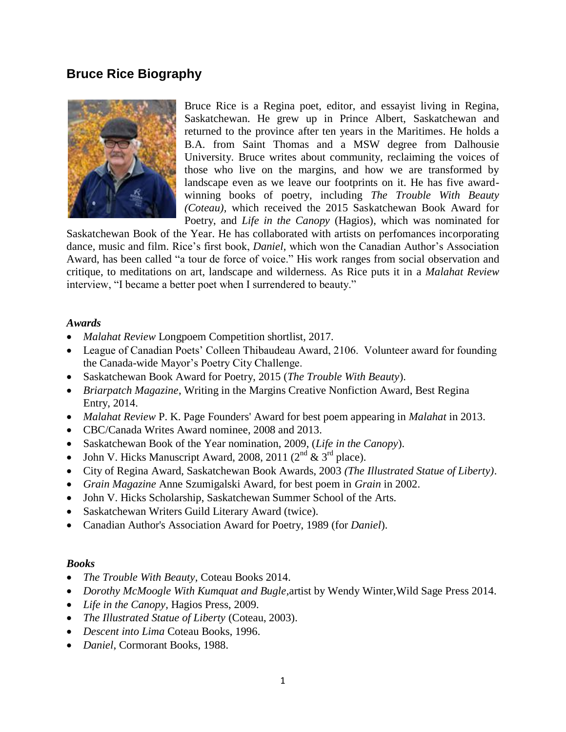# **Bruce Rice Biography**



Bruce Rice is a Regina poet, editor, and essayist living in Regina, Saskatchewan. He grew up in Prince Albert, Saskatchewan and returned to the province after ten years in the Maritimes. He holds a B.A. from Saint Thomas and a MSW degree from Dalhousie University. Bruce writes about community, reclaiming the voices of those who live on the margins, and how we are transformed by landscape even as we leave our footprints on it. He has five awardwinning books of poetry, including *The Trouble With Beauty (Coteau),* which received the 2015 Saskatchewan Book Award for Poetry, and *Life in the Canopy* (Hagios), which was nominated for

Saskatchewan Book of the Year. He has collaborated with artists on perfomances incorporating dance, music and film. Rice's first book, *Daniel*, which won the Canadian Author's Association Award, has been called "a tour de force of voice." His work ranges from social observation and critique, to meditations on art, landscape and wilderness. As Rice puts it in a *Malahat Review* interview, "I became a better poet when I surrendered to beauty."

#### *Awards*

- *Malahat Review* Longpoem Competition shortlist, 2017.
- League of Canadian Poets' Colleen Thibaudeau Award, 2106. Volunteer award for founding the Canada-wide Mayor's Poetry City Challenge.
- Saskatchewan Book Award for Poetry, 2015 (*The Trouble With Beauty*).
- *Briarpatch Magazine*, Writing in the Margins Creative Nonfiction Award, Best Regina Entry, 2014.
- *Malahat Review* P. K. Page Founders' Award for best poem appearing in *Malahat* in 2013.
- CBC/Canada Writes Award nominee, 2008 and 2013.
- Saskatchewan Book of the Year nomination, 2009, (*Life in the Canopy*).
- John V. Hicks Manuscript Award, 2008, 2011 ( $2^{nd}$  &  $3^{rd}$  place).
- City of Regina Award, Saskatchewan Book Awards, 2003 *(The Illustrated Statue of Liberty)*.
- *Grain Magazine* Anne Szumigalski Award, for best poem in *Grain* in 2002.
- John V. Hicks Scholarship, Saskatchewan Summer School of the Arts.
- Saskatchewan Writers Guild Literary Award (twice).
- Canadian Author's Association Award for Poetry, 1989 (for *Daniel*).

#### *Books*

- *The Trouble With Beauty,* Coteau Books 2014.
- *Dorothy McMoogle With Kumquat and Bugle,*artist by Wendy Winter,Wild Sage Press 2014.
- *Life in the Canopy,* Hagios Press, 2009.
- *The Illustrated Statue of Liberty* (Coteau, 2003).
- *Descent into Lima* Coteau Books, 1996.
- *Daniel*, Cormorant Books, 1988.